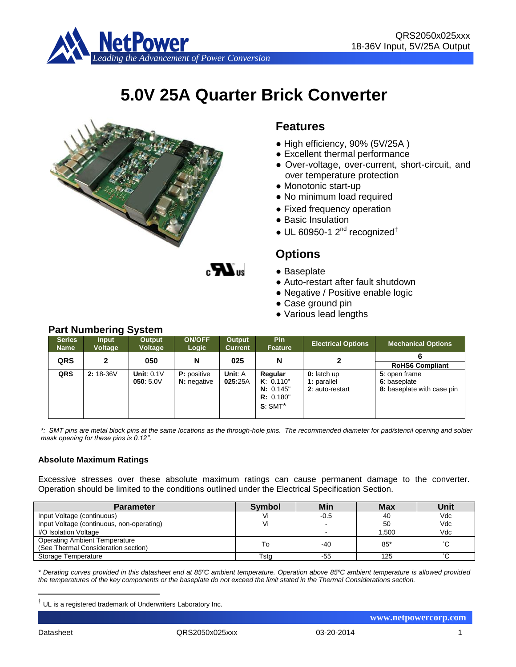

# **5.0V 25A Quarter Brick Converter**



### **Features**

- High efficiency, 90% (5V/25A )
- Excellent thermal performance
- Over-voltage, over-current, short-circuit, and over temperature protection
- Monotonic start-up
- No minimum load required
- Fixed frequency operation
- Basic Insulation
- $\bullet$  UL 60950-1 2<sup>nd</sup> recognized<sup>†</sup>

### **Options**

- Baseplate
- Auto-restart after fault shutdown
- Negative / Positive enable logic
- Case ground pin
- Various lead lengths

| <b>Series</b><br><b>Name</b> | <b>Input</b><br><b>Voltage</b> | Output<br><b>Voltage</b> | <b>ON/OFF</b><br>Logic | Output<br><b>Current</b> | <b>Pin</b><br>Feature | <b>Electrical Options</b> | <b>Mechanical Options</b>  |
|------------------------------|--------------------------------|--------------------------|------------------------|--------------------------|-----------------------|---------------------------|----------------------------|
| QRS                          | 2                              | 050                      | N                      | 025                      | N                     |                           |                            |
|                              |                                |                          |                        |                          |                       |                           | <b>RoHS6 Compliant</b>     |
| QRS                          | $2:18-36V$                     | Unit: $0.1V$             | <b>P</b> : positive    | Unit: A                  | Regular               | 0: latch up               | 5: open frame              |
|                              |                                | 050:5.0V                 | <b>N:</b> negative     | 025:25A                  | K: 0.110"             | 1: parallel               | 6: baseplate               |
|                              |                                |                          |                        |                          | N: 0.145"             | 2: auto-restart           | 8: baseplate with case pin |
|                              |                                |                          |                        |                          | R: 0.180"             |                           |                            |
|                              |                                |                          |                        |                          | $S: SMT^*$            |                           |                            |
|                              |                                |                          |                        |                          |                       |                           |                            |

 $\boldsymbol{M}$ 

*\*: SMT pins are metal block pins at the same locations as the through-hole pins. The recommended diameter for pad/stencil opening and solder mask opening for these pins is 0.12''.*

#### **Absolute Maximum Ratings**

Excessive stresses over these absolute maximum ratings can cause permanent damage to the converter. Operation should be limited to the conditions outlined under the Electrical Specification Section.

| <b>Parameter</b>                                                            | <b>Symbol</b> | <b>Min</b> | <b>Max</b> | Unit                |
|-----------------------------------------------------------------------------|---------------|------------|------------|---------------------|
| Input Voltage (continuous)                                                  |               | $-0.5$     | 40         | Vdc                 |
| Input Voltage (continuous, non-operating)                                   |               |            | 50         | Vdc                 |
| I/O Isolation Voltage                                                       |               |            | 1.500      | Vdc                 |
| <b>Operating Ambient Temperature</b><br>(See Thermal Consideration section) | То            | $-40$      | $85*$      | $\hat{\phantom{a}}$ |
| Storage Temperature                                                         | Tsta          | -55        | 125        |                     |

*\* Derating curves provided in this datasheet end at 85ºC ambient temperature. Operation above 85ºC ambient temperature is allowed provided the temperatures of the key components or the baseplate do not exceed the limit stated in the Thermal Considerations section.*

1

 **www.netpowercorp.com**

## **Part Numbering System**

<sup>†</sup> UL is a registered trademark of Underwriters Laboratory Inc.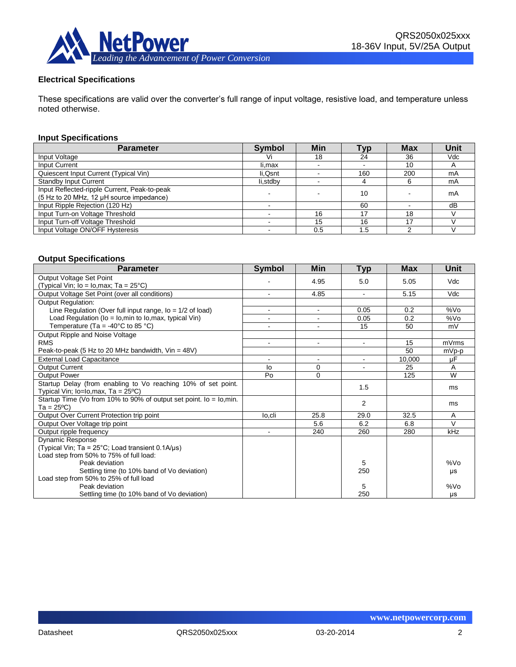

#### **Electrical Specifications**

These specifications are valid over the converter's full range of input voltage, resistive load, and temperature unless noted otherwise.

#### **Input Specifications**

| <b>Parameter</b>                                                                         | <b>Symbol</b> | Min | <b>Typ</b> | <b>Max</b> | Unit |
|------------------------------------------------------------------------------------------|---------------|-----|------------|------------|------|
| Input Voltage                                                                            | Vi            | 18  | 24         | 36         | Vdc  |
| Input Current                                                                            | li.max        |     |            | 10         |      |
| Quiescent Input Current (Typical Vin)                                                    | li, Qsnt      |     | 160        | 200        | mA   |
| <b>Standby Input Current</b>                                                             | li,stdby      |     |            | 6          | mA   |
| Input Reflected-ripple Current, Peak-to-peak<br>(5 Hz to 20 MHz, 12 µH source impedance) |               |     | 10         |            | mA   |
| Input Ripple Rejection (120 Hz)                                                          |               |     | 60         |            | dB   |
| Input Turn-on Voltage Threshold                                                          |               | 16  | 17         | 18         |      |
| Input Turn-off Voltage Threshold                                                         |               | 15  | 16         | 17         |      |
| Input Voltage ON/OFF Hysteresis                                                          |               | 0.5 | . 5        | ◠          |      |

#### **Output Specifications**

| <b>Parameter</b>                                                                             | <b>Symbol</b>  | Min            | <b>Typ</b> | <b>Max</b> | <b>Unit</b>        |
|----------------------------------------------------------------------------------------------|----------------|----------------|------------|------------|--------------------|
| Output Voltage Set Point                                                                     |                | 4.95           | 5.0        | 5.05       | Vdc                |
| (Typical Vin; $lo = Io, max$ ; Ta = 25°C)                                                    |                |                |            |            |                    |
| Output Voltage Set Point (over all conditions)                                               |                | 4.85           |            | 5.15       | Vdc                |
| <b>Output Regulation:</b>                                                                    |                |                |            |            |                    |
| Line Regulation (Over full input range, $I_0 = 1/2$ of load)                                 |                | $\sim$         | 0.05       | 0.2        | %V <sub>O</sub>    |
| Load Regulation ( $lo = Io$ , min to $Io$ , max, typical Vin)                                |                | $\sim$         | 0.05       | 0.2        | %V <sub>O</sub>    |
| Temperature (Ta = -40 $\degree$ C to 85 $\degree$ C)                                         |                | $\blacksquare$ | 15         | 50         | mV                 |
| Output Ripple and Noise Voltage                                                              |                |                |            |            |                    |
| <b>RMS</b>                                                                                   |                | $\blacksquare$ |            | 15         | mVrms              |
| Peak-to-peak (5 Hz to 20 MHz bandwidth, $V$ in = 48V)                                        |                |                |            | 50         | $\overline{mVp-p}$ |
| <b>External Load Capacitance</b>                                                             | $\blacksquare$ | $\blacksquare$ | $\sim$     | 10,000     | μF                 |
| <b>Output Current</b>                                                                        | lo             | 0              |            | 25         | A                  |
| <b>Output Power</b>                                                                          | Po             | 0              |            | 125        | W                  |
| Startup Delay (from enabling to Vo reaching 10% of set point.                                |                |                | 1.5        |            | ms                 |
| Typical Vin; $lo = lo, max$ , Ta = $25^{\circ}$ C)                                           |                |                |            |            |                    |
| Startup Time (Vo from 10% to 90% of output set point. $\overline{lo} = \overline{lo}$ , min. |                |                | 2          |            | ms                 |
| Ta = 25ºC)                                                                                   |                |                |            |            |                    |
| Output Over Current Protection trip point                                                    | lo.cli         | 25.8           | 29.0       | 32.5       | A                  |
| Output Over Voltage trip point                                                               |                | 5.6            | 6.2        | 6.8        | $\sqrt{}$          |
| Output ripple frequency                                                                      | $\blacksquare$ | 240            | 260        | 280        | kHz                |
| Dynamic Response                                                                             |                |                |            |            |                    |
| (Typical Vin; Ta = $25^{\circ}$ C; Load transient 0.1A/us)                                   |                |                |            |            |                    |
| Load step from 50% to 75% of full load:                                                      |                |                |            |            |                    |
| Peak deviation                                                                               |                |                | 5          |            | %V <sub>O</sub>    |
| Settling time (to 10% band of Vo deviation)                                                  |                |                | 250        |            | μs                 |
| Load step from 50% to 25% of full load                                                       |                |                |            |            |                    |
| Peak deviation                                                                               |                |                | 5          |            | %Vo                |
| Settling time (to 10% band of Vo deviation)                                                  |                |                | 250        |            | μs                 |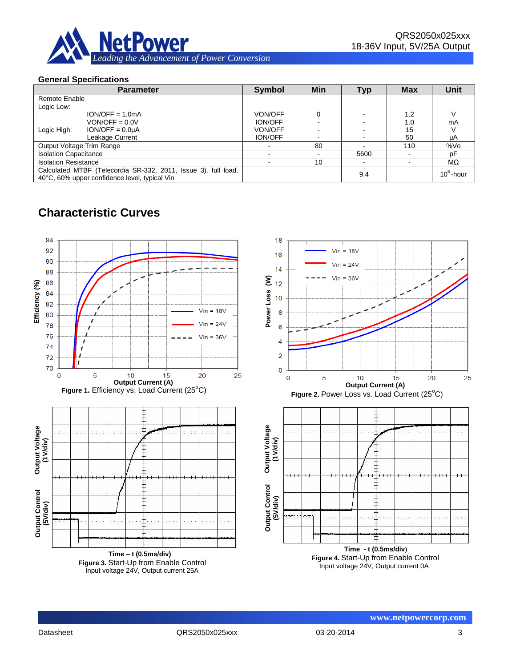

#### **General Specifications**

| <b>Parameter</b>                                                                                                |                   | <b>Symbol</b>  | Min | <b>Typ</b> | <b>Max</b> | <b>Unit</b>  |
|-----------------------------------------------------------------------------------------------------------------|-------------------|----------------|-----|------------|------------|--------------|
| Remote Enable                                                                                                   |                   |                |     |            |            |              |
| Logic Low:                                                                                                      |                   |                |     |            |            |              |
|                                                                                                                 | $ION/OFF = 1.0mA$ | <b>VON/OFF</b> |     |            | 1.2        |              |
|                                                                                                                 | $VON/OFF = 0.0 V$ | <b>ION/OFF</b> |     |            | 1.0        | mA           |
| Logic High:                                                                                                     | $ION/OFF = 0.0µA$ | VON/OFF        |     |            | 15         |              |
|                                                                                                                 | Leakage Current   | <b>ION/OFF</b> |     |            | 50         | μA           |
| Output Voltage Trim Range                                                                                       |                   |                | 80  |            | 110        | %Vo          |
| <b>Isolation Capacitance</b>                                                                                    |                   |                |     | 5600       |            | рF           |
| <b>Isolation Resistance</b>                                                                                     |                   |                | 10  |            |            | MΩ           |
| Calculated MTBF (Telecordia SR-332, 2011, Issue 3), full load,<br>40°C, 60% upper confidence level, typical Vin |                   |                |     | 9.4        |            | $10^6$ -hour |

### **Characteristic Curves**

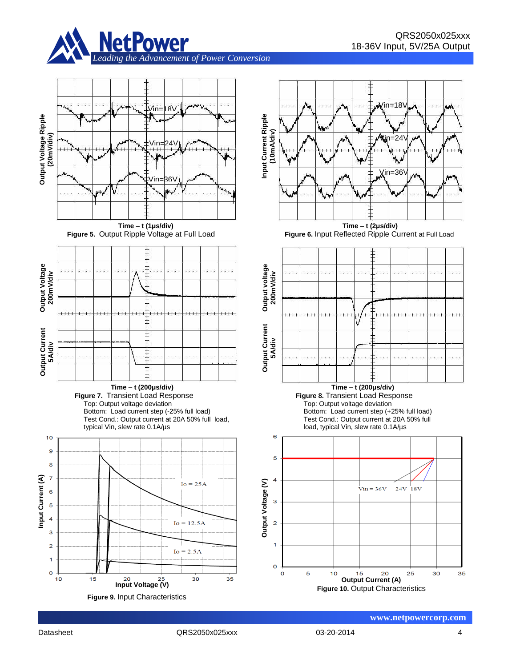





















Datasheet QRS2050x025xxx 03-20-2014 4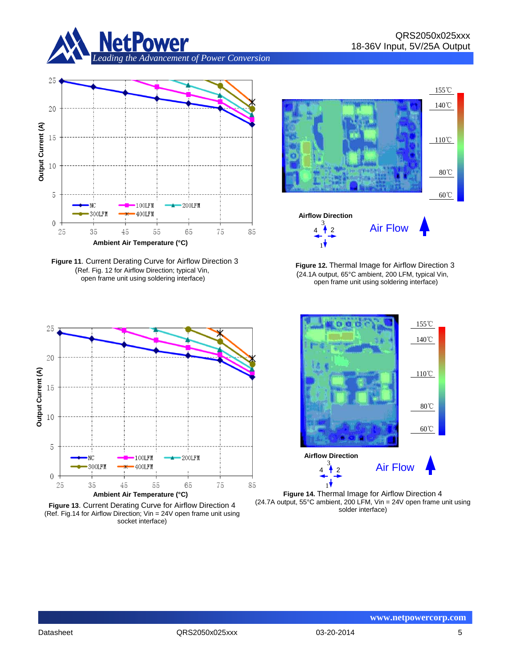



**Figure 11**. Current Derating Curve for Airflow Direction 3 (Ref. Fig. 12 for Airflow Direction; typical Vin, open frame unit using soldering interface)



**Figure 13**. Current Derating Curve for Airflow Direction 4 (Ref. Fig.14 for Airflow Direction; Vin = 24V open frame unit using socket interface)



 **Figure 12.** Thermal Image for Airflow Direction 3 (24.1A output, 65°C ambient, 200 LFM, typical Vin, open frame unit using soldering interface)



**Figure 14.** Thermal Image for Airflow Direction 4 (24.7A output, 55°C ambient, 200 LFM, Vin = 24V open frame unit using solder interface)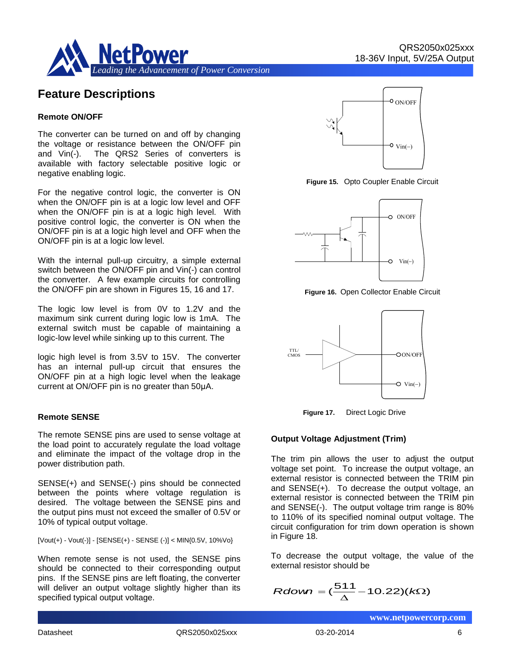

### **Feature Descriptions**

#### **Remote ON/OFF**

The converter can be turned on and off by changing the voltage or resistance between the ON/OFF pin and Vin(-). The QRS2 Series of converters is available with factory selectable positive logic or negative enabling logic.

For the negative control logic, the converter is ON when the ON/OFF pin is at a logic low level and OFF when the ON/OFF pin is at a logic high level. With positive control logic, the converter is ON when the ON/OFF pin is at a logic high level and OFF when the ON/OFF pin is at a logic low level.

With the internal pull-up circuitry, a simple external switch between the ON/OFF pin and Vin(-) can control the converter. A few example circuits for controlling the ON/OFF pin are shown in Figures 15, 16 and 17.

The logic low level is from 0V to 1.2V and the maximum sink current during logic low is 1mA. The external switch must be capable of maintaining a logic-low level while sinking up to this current. The

logic high level is from 3.5V to 15V. The converter has an internal pull-up circuit that ensures the ON/OFF pin at a high logic level when the leakage current at ON/OFF pin is no greater than 50μA.

#### **Remote SENSE**

The remote SENSE pins are used to sense voltage at the load point to accurately regulate the load voltage and eliminate the impact of the voltage drop in the power distribution path.

SENSE(+) and SENSE(-) pins should be connected between the points where voltage regulation is desired. The voltage between the SENSE pins and the output pins must not exceed the smaller of 0.5V or 10% of typical output voltage.

 $[Vout(+) - Vout(-)] - [SENSE(+) - SENSE(-)] < MIN(0.5V, 10\% Vo)$ 

When remote sense is not used, the SENSE pins should be connected to their corresponding output pins. If the SENSE pins are left floating, the converter will deliver an output voltage slightly higher than its specified typical output voltage.



**Figure 15.** Opto Coupler Enable Circuit



**Figure 16.** Open Collector Enable Circuit



 **Figure 17.** Direct Logic Drive

#### **Output Voltage Adjustment (Trim)**

The trim pin allows the user to adjust the output voltage set point. To increase the output voltage, an external resistor is connected between the TRIM pin and SENSE(+). To decrease the output voltage, an external resistor is connected between the TRIM pin and SENSE(-). The output voltage trim range is 80% to 110% of its specified nominal output voltage. The circuit configuration for trim down operation is shown in Figure 18.

To decrease the output voltage, the value of the external resistor should be

$$
Rdown = (\frac{511}{\Delta} - 10.22)(k\Omega)
$$

Datasheet QRS2050x025xxx 03-20-2014 6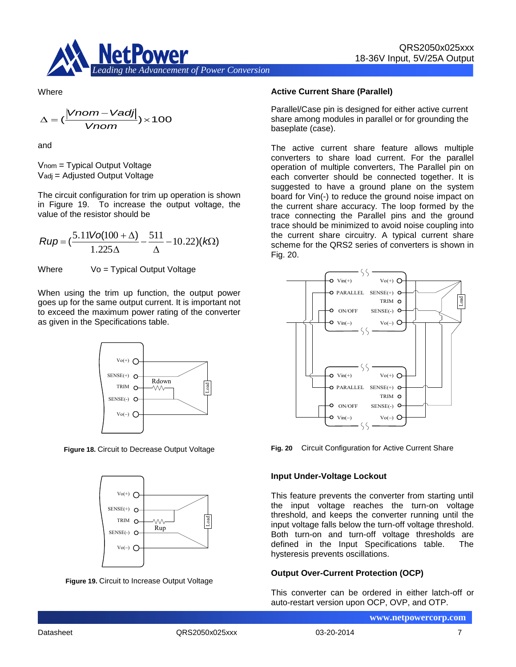

**Where** 

$$
\Delta = (\frac{|Vnom - Vadj|}{Vnom}) \times 100
$$

and

Vnom = Typical Output Voltage Vadj = Adjusted Output Voltage

The circuit configuration for trim up operation is shown in Figure 19. To increase the output voltage, the value of the resistor should be

$$
Rup = \left(\frac{5.11\text{Vol}(100 + \Delta)}{1.225\Delta} - \frac{511}{\Delta} - 10.22\right)(k\Omega)
$$

Where  $V_0 = T$ ypical Output Voltage

When using the trim up function, the output power goes up for the same output current. It is important not to exceed the maximum power rating of the converter as given in the Specifications table.



**Figure 18.** Circuit to Decrease Output Voltage



**Figure 19.** Circuit to Increase Output Voltage

#### **Active Current Share (Parallel)**

Parallel/Case pin is designed for either active current share among modules in parallel or for grounding the baseplate (case).

The active current share feature allows multiple converters to share load current. For the parallel operation of multiple converters, The Parallel pin on each converter should be connected together. It is suggested to have a ground plane on the system board for Vin(-) to reduce the ground noise impact on the current share accuracy. The loop formed by the trace connecting the Parallel pins and the ground trace should be minimized to avoid noise coupling into the current share circuitry. A typical current share scheme for the QRS2 series of converters is shown in Fig. 20.



**Fig. 20** Circuit Configuration for Active Current Share

#### **Input Under-Voltage Lockout**

This feature prevents the converter from starting until the input voltage reaches the turn-on voltage threshold, and keeps the converter running until the input voltage falls below the turn-off voltage threshold. Both turn-on and turn-off voltage thresholds are defined in the Input Specifications table. The hysteresis prevents oscillations.

#### **Output Over-Current Protection (OCP)**

This converter can be ordered in either latch-off or auto-restart version upon OCP, OVP, and OTP.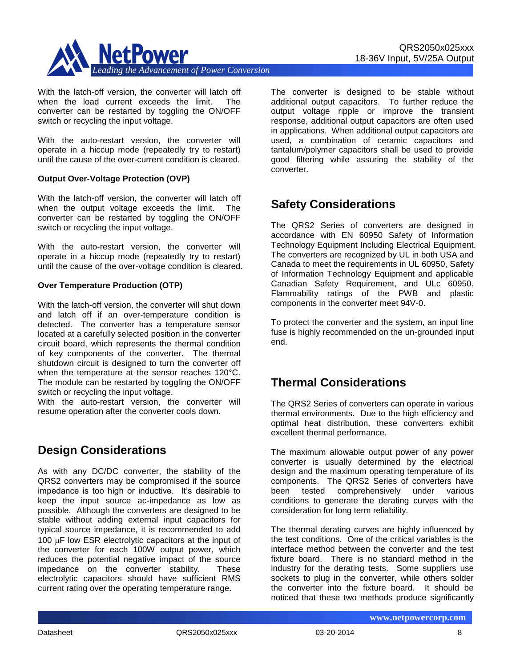

With the latch-off version, the converter will latch off

when the load current exceeds the limit. The converter can be restarted by toggling the ON/OFF switch or recycling the input voltage.

With the auto-restart version, the converter will operate in a hiccup mode (repeatedly try to restart) until the cause of the over-current condition is cleared.

#### **Output Over-Voltage Protection (OVP)**

With the latch-off version, the converter will latch off when the output voltage exceeds the limit. The converter can be restarted by toggling the ON/OFF switch or recycling the input voltage.

With the auto-restart version, the converter will operate in a hiccup mode (repeatedly try to restart) until the cause of the over-voltage condition is cleared.

#### **Over Temperature Production (OTP)**

With the latch-off version, the converter will shut down and latch off if an over-temperature condition is detected. The converter has a temperature sensor located at a carefully selected position in the converter circuit board, which represents the thermal condition of key components of the converter. The thermal shutdown circuit is designed to turn the converter off when the temperature at the sensor reaches 120°C. The module can be restarted by toggling the ON/OFF switch or recycling the input voltage.

With the auto-restart version, the converter will resume operation after the converter cools down.

### **Design Considerations**

As with any DC/DC converter, the stability of the QRS2 converters may be compromised if the source impedance is too high or inductive. It's desirable to keep the input source ac-impedance as low as possible. Although the converters are designed to be stable without adding external input capacitors for typical source impedance, it is recommended to add 100  $\mu$ F low ESR electrolytic capacitors at the input of the converter for each 100W output power, which reduces the potential negative impact of the source impedance on the converter stability. These electrolytic capacitors should have sufficient RMS current rating over the operating temperature range.

The converter is designed to be stable without additional output capacitors. To further reduce the output voltage ripple or improve the transient response, additional output capacitors are often used in applications. When additional output capacitors are used, a combination of ceramic capacitors and tantalum/polymer capacitors shall be used to provide good filtering while assuring the stability of the converter.

### **Safety Considerations**

The QRS2 Series of converters are designed in accordance with EN 60950 Safety of Information Technology Equipment Including Electrical Equipment. The converters are recognized by UL in both USA and Canada to meet the requirements in UL 60950, Safety of Information Technology Equipment and applicable Canadian Safety Requirement, and ULc 60950. Flammability ratings of the PWB and plastic components in the converter meet 94V-0.

To protect the converter and the system, an input line fuse is highly recommended on the un-grounded input end.

### **Thermal Considerations**

The QRS2 Series of converters can operate in various thermal environments. Due to the high efficiency and optimal heat distribution, these converters exhibit excellent thermal performance.

The maximum allowable output power of any power converter is usually determined by the electrical design and the maximum operating temperature of its components. The QRS2 Series of converters have been tested comprehensively under various conditions to generate the derating curves with the consideration for long term reliability.

The thermal derating curves are highly influenced by the test conditions. One of the critical variables is the interface method between the converter and the test fixture board. There is no standard method in the industry for the derating tests. Some suppliers use sockets to plug in the converter, while others solder the converter into the fixture board. It should be noticed that these two methods produce significantly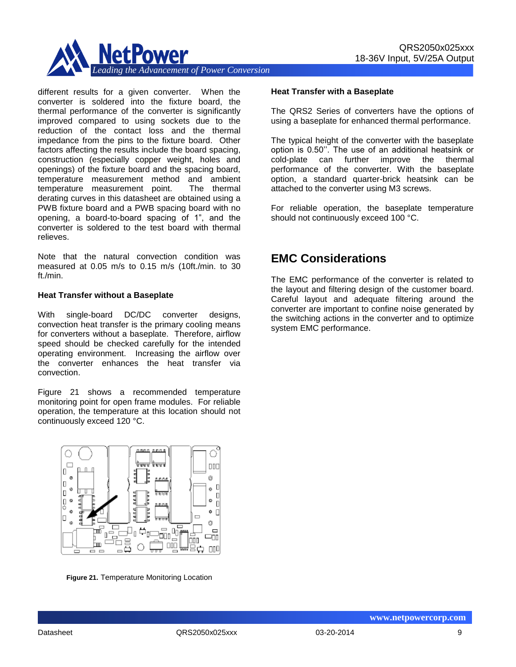

different results for a given converter. When the converter is soldered into the fixture board, the thermal performance of the converter is significantly improved compared to using sockets due to the reduction of the contact loss and the thermal impedance from the pins to the fixture board. Other factors affecting the results include the board spacing, construction (especially copper weight, holes and openings) of the fixture board and the spacing board, temperature measurement method and ambient temperature measurement point. The thermal derating curves in this datasheet are obtained using a PWB fixture board and a PWB spacing board with no opening, a board-to-board spacing of 1", and the converter is soldered to the test board with thermal relieves.

Note that the natural convection condition was measured at 0.05 m/s to 0.15 m/s (10ft./min. to 30 ft./min.

#### **Heat Transfer without a Baseplate**

With single-board DC/DC converter designs, convection heat transfer is the primary cooling means for converters without a baseplate. Therefore, airflow speed should be checked carefully for the intended operating environment. Increasing the airflow over the converter enhances the heat transfer via convection.

Figure 21 shows a recommended temperature monitoring point for open frame modules. For reliable operation, the temperature at this location should not continuously exceed 120 °C.



**Figure 21.** Temperature Monitoring Location

#### **Heat Transfer with a Baseplate**

The QRS2 Series of converters have the options of using a baseplate for enhanced thermal performance.

The typical height of the converter with the baseplate option is 0.50''. The use of an additional heatsink or cold-plate can further improve the thermal performance of the converter. With the baseplate option, a standard quarter-brick heatsink can be attached to the converter using M3 screws.

For reliable operation, the baseplate temperature should not continuously exceed 100 °C.

### **EMC Considerations**

The EMC performance of the converter is related to the layout and filtering design of the customer board. Careful layout and adequate filtering around the converter are important to confine noise generated by the switching actions in the converter and to optimize system EMC performance.